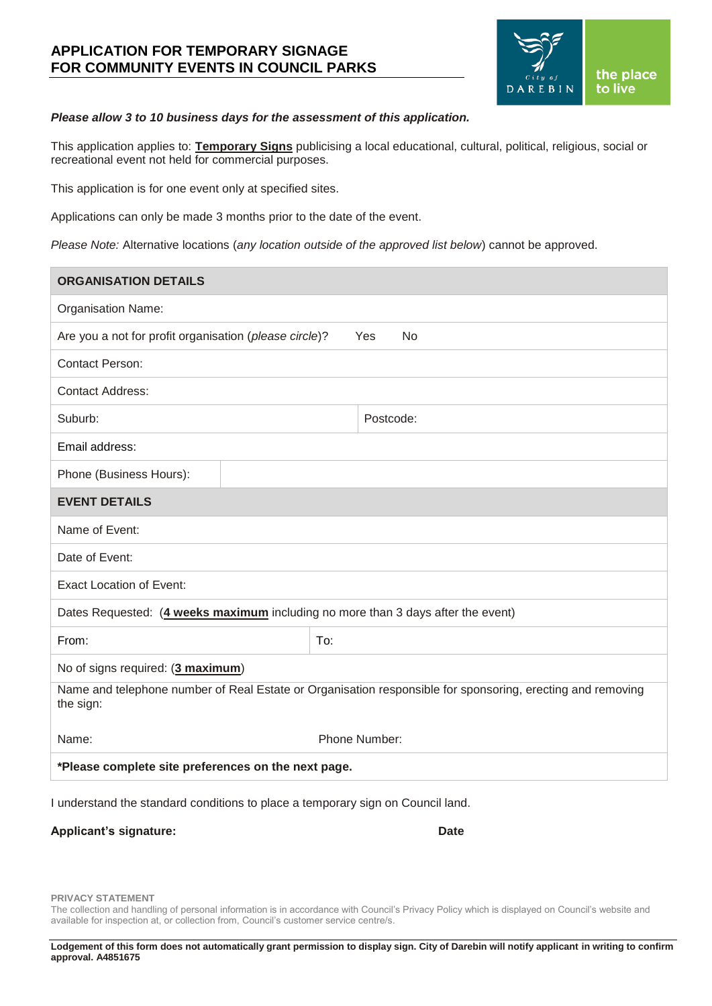# **APPLICATION FOR TEMPORARY SIGNAGE FOR COMMUNITY EVENTS IN COUNCIL PARKS**



### *Please allow 3 to 10 business days for the assessment of this application.*

This application applies to: **Temporary Signs** publicising a local educational, cultural, political, religious, social or recreational event not held for commercial purposes.

This application is for one event only at specified sites.

Applications can only be made 3 months prior to the date of the event.

*Please Note:* Alternative locations (*any location outside of the approved list below*) cannot be approved.

| <b>ORGANISATION DETAILS</b>                                                                                             |               |  |  |  |
|-------------------------------------------------------------------------------------------------------------------------|---------------|--|--|--|
| <b>Organisation Name:</b>                                                                                               |               |  |  |  |
| Are you a not for profit organisation (please circle)?<br>Yes<br>No                                                     |               |  |  |  |
| <b>Contact Person:</b>                                                                                                  |               |  |  |  |
| <b>Contact Address:</b>                                                                                                 |               |  |  |  |
| Suburb:                                                                                                                 | Postcode:     |  |  |  |
| Email address:                                                                                                          |               |  |  |  |
| Phone (Business Hours):                                                                                                 |               |  |  |  |
| <b>EVENT DETAILS</b>                                                                                                    |               |  |  |  |
| Name of Event:                                                                                                          |               |  |  |  |
| Date of Event:                                                                                                          |               |  |  |  |
| <b>Exact Location of Event:</b>                                                                                         |               |  |  |  |
| Dates Requested: (4 weeks maximum including no more than 3 days after the event)                                        |               |  |  |  |
| From:                                                                                                                   | To:           |  |  |  |
| No of signs required: (3 maximum)                                                                                       |               |  |  |  |
| Name and telephone number of Real Estate or Organisation responsible for sponsoring, erecting and removing<br>the sign: |               |  |  |  |
| Name:                                                                                                                   | Phone Number: |  |  |  |
| *Please complete site preferences on the next page.                                                                     |               |  |  |  |

I understand the standard conditions to place a temporary sign on Council land.

#### Applicant's signature: **Date**

**PRIVACY STATEMENT**

The collection and handling of personal information is in accordance with Council's Privacy Policy which is displayed on Council's website and available for inspection at, or collection from, Council's customer service centre/s.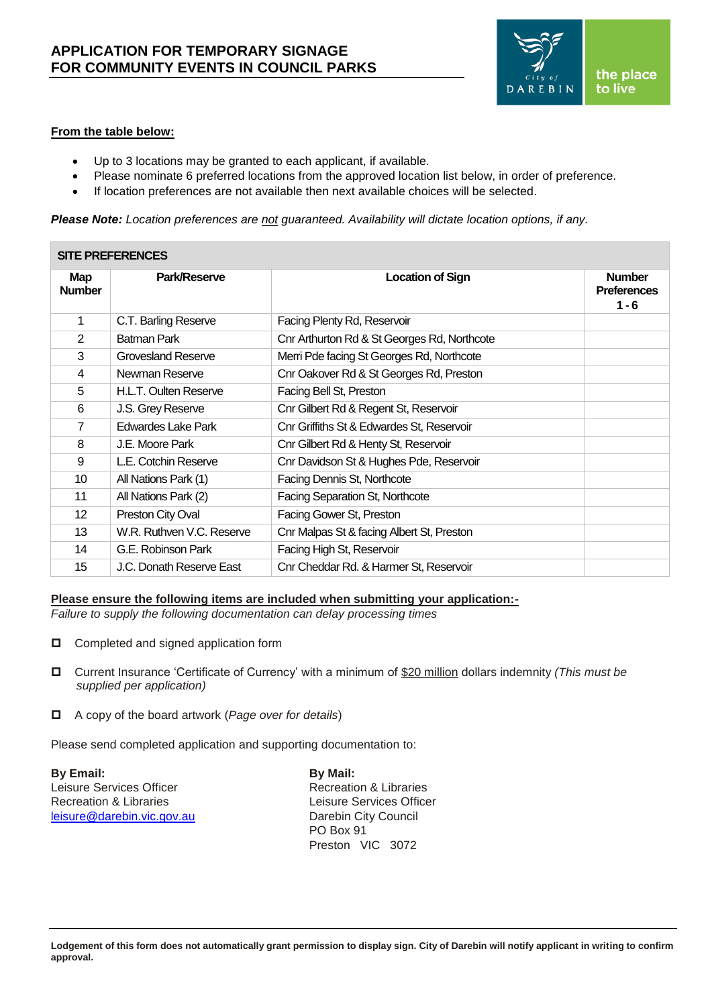

### **From the table below:**

- Up to 3 locations may be granted to each applicant, if available.
- Please nominate 6 preferred locations from the approved location list below, in order of preference.
- If location preferences are not available then next available choices will be selected.

*Please Note: Location preferences are not guaranteed. Availability will dictate location options, if any.*

| <b>SITE PREFERENCES</b>     |                           |                                             |                                                |
|-----------------------------|---------------------------|---------------------------------------------|------------------------------------------------|
| <b>Map</b><br><b>Number</b> | <b>Park/Reserve</b>       | <b>Location of Sign</b>                     | <b>Number</b><br><b>Preferences</b><br>$1 - 6$ |
| $\mathbf{1}$                | C.T. Barling Reserve      | Facing Plenty Rd, Reservoir                 |                                                |
| $\overline{2}$              | <b>Batman Park</b>        | Cnr Arthurton Rd & St Georges Rd, Northcote |                                                |
| 3                           | Grovesland Reserve        | Merri Pde facing St Georges Rd, Northcote   |                                                |
| 4                           | Newman Reserve            | Cnr Oakover Rd & St Georges Rd, Preston     |                                                |
| 5                           | H.L.T. Oulten Reserve     | Facing Bell St, Preston                     |                                                |
| 6                           | J.S. Grey Reserve         | Cnr Gilbert Rd & Regent St, Reservoir       |                                                |
| $\overline{7}$              | <b>Edwardes Lake Park</b> | Cnr Griffiths St & Edwardes St, Reservoir   |                                                |
| 8                           | J.E. Moore Park           | Cnr Gilbert Rd & Henty St, Reservoir        |                                                |
| 9                           | L.E. Cotchin Reserve      | Cnr Davidson St & Hughes Pde, Reservoir     |                                                |
| 10                          | All Nations Park (1)      | Facing Dennis St, Northcote                 |                                                |
| 11                          | All Nations Park (2)      | Facing Separation St, Northcote             |                                                |
| 12                          | Preston City Oval         | Facing Gower St, Preston                    |                                                |
| 13                          | W.R. Ruthven V.C. Reserve | Cnr Malpas St & facing Albert St, Preston   |                                                |
| 14                          | G.E. Robinson Park        | Facing High St, Reservoir                   |                                                |
| 15                          | J.C. Donath Reserve East  | Cnr Cheddar Rd. & Harmer St, Reservoir      |                                                |

### **Please ensure the following items are included when submitting your application:-**

*Failure to supply the following documentation can delay processing times*

- □ Completed and signed application form
- Current Insurance 'Certificate of Currency' with a minimum of \$20 million dollars indemnity *(This must be supplied per application)*
- A copy of the board artwork (*Page over for details*)

Please send completed application and supporting documentation to:

**By Email: By Mail:** Leisure Services Officer **Recreation & Libraries** Recreation & Libraries **Leisure Services Officer** [leisure@darebin.vic.gov.au](mailto:leisure@darebin.vic.gov.au) Darebin City Council

PO Box 91 Preston VIC 3072